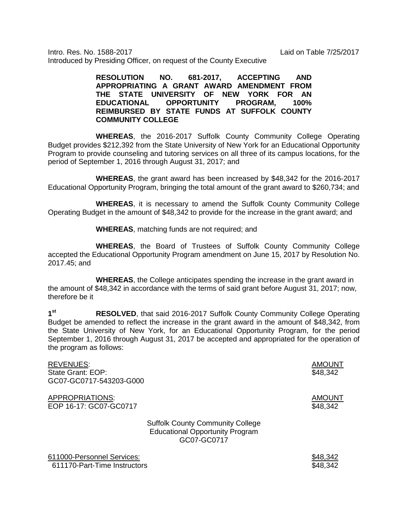Intro. Res. No. 1588-2017 Laid on Table 7/25/2017 Introduced by Presiding Officer, on request of the County Executive

> **RESOLUTION NO. 681-2017, ACCEPTING AND APPROPRIATING A GRANT AWARD AMENDMENT FROM THE STATE UNIVERSITY OF NEW YORK FOR AN EDUCATIONAL OPPORTUNITY PROGRAM, 100% REIMBURSED BY STATE FUNDS AT SUFFOLK COUNTY COMMUNITY COLLEGE**

**WHEREAS**, the 2016-2017 Suffolk County Community College Operating Budget provides \$212,392 from the State University of New York for an Educational Opportunity Program to provide counseling and tutoring services on all three of its campus locations, for the period of September 1, 2016 through August 31, 2017; and

**WHEREAS**, the grant award has been increased by \$48,342 for the 2016-2017 Educational Opportunity Program, bringing the total amount of the grant award to \$260,734; and

**WHEREAS**, it is necessary to amend the Suffolk County Community College Operating Budget in the amount of \$48,342 to provide for the increase in the grant award; and

**WHEREAS**, matching funds are not required; and

**WHEREAS**, the Board of Trustees of Suffolk County Community College accepted the Educational Opportunity Program amendment on June 15, 2017 by Resolution No. 2017.45; and

**WHEREAS**, the College anticipates spending the increase in the grant award in the amount of \$48,342 in accordance with the terms of said grant before August 31, 2017; now, therefore be it

**1st RESOLVED**, that said 2016-2017 Suffolk County Community College Operating Budget be amended to reflect the increase in the grant award in the amount of \$48,342, from the State University of New York, for an Educational Opportunity Program, for the period September 1, 2016 through August 31, 2017 be accepted and appropriated for the operation of the program as follows:

| REVENUES:                  |                                                                                                  | <b>AMOUNT</b> |
|----------------------------|--------------------------------------------------------------------------------------------------|---------------|
| State Grant: EOP:          |                                                                                                  | \$48,342      |
| GC07-GC0717-543203-G000    |                                                                                                  |               |
| APPROPRIATIONS:            |                                                                                                  | <b>AMOUNT</b> |
| EOP 16-17: GC07-GC0717     |                                                                                                  | \$48,342      |
|                            | <b>Suffolk County Community College</b><br><b>Educational Opportunity Program</b><br>GC07-GC0717 |               |
| 611000-Personnel Services: |                                                                                                  | \$48,342      |

611170-Part-Time Instructors **\$48,342**